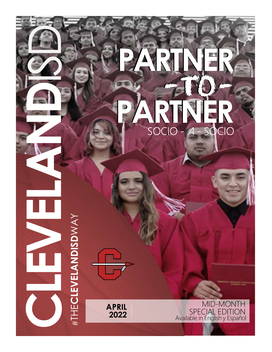## FLEX P PARTNER -TO-PARTNER PARTNER -TO-PARTNER SOCIO - A - SQCIO

LEARNING TOGETHER HER STATE THE STATE OF THE STATE OF THE STATE OF THE STATE OF THE STATE OF THE STATE OF THE STATE OF THE STATE OF THE STATE OF THE STATE OF THE STATE OF THE STATE OF THE STATE OF THE STATE OF THE STATE OF #THECLEVELANDISDWAY

AN UPDATE FOR OUR COMMUNITY PARTNERS OF A REPORT OF A REPORT OF A REPORT OF A REPORT OF A REPORT OF A REPORT OF A REPORT OF A REPORT OF A REPORT OF A REPORT OF A REPORT OF A REPORT OF A REPORT OF A REPORT OF A REPORT OF A AND LEADERS APRIL MID-MONTH<br>
2022 SPECIAL EDITION 2022 Available in English y Español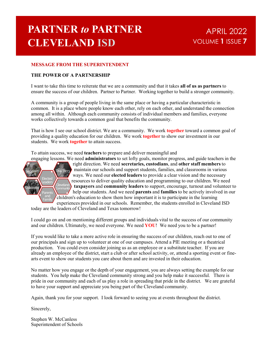## **PARTNER to PARTNER** APRIL 2022 CLEVELAND ISD

# **APRIL 2022**<br>UME **1** ISSUE 7 VOLUME 1 ISSUE 7

### MESSAGE FROM THE SUPERINTENDENT

#### THE POWER OF A PARTNERSHIP

I want to take this time to reiterate that we are a community and that it takes all of us as partners to ensure the success of our children. Partner to Partner. Working together to build a stronger community.

A community is a group of people living in the same place or having a particular characteristic in common. It is a place where people know each other, rely on each other, and understand the connection among all within. Although each community consists of individual members and families, everyone works collectively towards a common goal that benefits the community.

That is how I see our school district. We are a community. We work **together** toward a common goal of providing a quality education for our children. We work together to show our investment in our students. We work **together** to attain success.

To attain success, we need teachers to prepare and deliver meaningful and



engaging lessons. We need administrators to set lofty goals, monitor progress, and guide teachers in the right direction. We need secretaries, custodians, and other staff members to Teachers<sup>)</sup> maintain our schools and support students, families, and classrooms in various ways. We need our elected leaders to provide a clear vision and the necessary Elected resources to deliver quality education and programming to our children. We need Students Cleveland **Cleveland Example 26 taxpayers and community leaders** to support, encourage, turnout and volunteer to Parents  $\sum$  help our students. And we need **parents** and **families** to be actively involved in our and children's education to show them how important it is to participate in the learning experiences provided in our schools. Remember, the students enrolled in Cleveland ISD Leaders  $\frac{1}{2}$  resources to delive

today are the leaders of Cleveland and Texas tomorrow!

I could go on and on mentioning different groups and individuals vital to the success of our community and our children. Ultimately, we need everyone. We need YOU! We need you to be a partner!

If you would like to take a more active role in ensuring the success of our children, reach out to one of our principals and sign up to volunteer at one of our campuses. Attend a PIE meeting or a theatrical production. You could even consider joining us as an employee or a substitute teacher. If you are already an employee of the district, start a club or after school activity, or, attend a sporting event or finearts event to show our students you care about them and are invested in their education. The section of the mediate of the matter of the part of the control of the matter of the section and the matter and the matter while the section of the point star, we need part of the part of the part of the part of the pa

No matter how you engage or the depth of your engagement, you are always setting the example for our students. You help make the Cleveland community strong and you help make it successful. There is pride in our community and each of us play a role in spreading that pride in the district. We are grateful

Again, thank you for your support. I look forward to seeing you at events throughout the district.

Sincerely,

Stephen W. McCanless Superintendent of Schools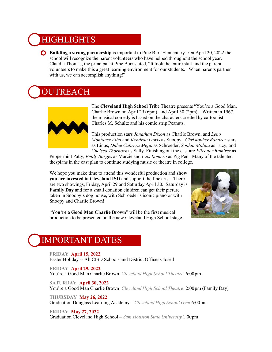### **HIGHLIGHTS**

**Building a strong partnership** is important to Pine Burr Elementary. On April 20, 2022 the school will recognize the parent volunteers who have helped throughout the school year. Claudia Thomas, the principal at Pine Burr stated, "It took the entire staff and the parent volunteers to make this a great learning environment for our students. When parents partner with us, we can accomplish anything!" S<br> **S**<br> **out the parent volunteers who have helped throughout the school year.**<br>
the parent volunteers who have helped throughout the school year.<br>
principal at Pine Burr stated, "It took the entire staff and the parent<br>
i **S**<br> **Chelsea** Thornock as Sally Find Burrow Chelsea Thornock as Sally The Thornock as Sally The Part Singleon Singleon Singleon Singleon Singleon Singleon Singleon Singleon Singleon Singleon Singleon Singleon Singleon Sin

## JTREACH



The Cleveland High School Tribe Theatre presents "You're a Good Man, Charlie Brown on April 29 (6pm), and April 30 (2pm). Written in 1967, the musical comedy is based on the characters created by cartoonist Charles M. Schultz and his comic strip Peanuts.

This production stars Jonathan Dixon as Charlie Brown, and Leno as Linus, Dulce Cabrera Mejia as Schroeder, Sophia Molina as Lucy, and

Peppermint Patty, Emily Borges as Marcie and Luis Romero as Pig Pen. Many of the talented thespians in the cast plan to continue studying music or theatre in college.

Chelsea Thornock as Sally. Finishing out the cast are Ellenor Ramirez as<br>
Peppermint Patty, *Emily Borges* as Marcie and *Luis Romero* as Pig Pen. Many of the talented<br>
thespians in the cast plan to continue studying music We hope you make time to attend this wonderful production and **show** you are invested in Cleveland ISD and support the fine arts. There are two showings, Friday, April 29 and Saturday April 30. Saturday is Family Day and for a small donation children can get their picture **UTREACH**<br>
The Cleveland High School Tribe Theatre presents "You're a Good M<br>
Charlie Brown on April 29 (6pm), and April 30 (2pm). Written in 196<br>
the musical comedy is based on the characters created by cartoonist<br>
This Snoopy and Charlie Brown!<br>"You're a Good Man Charlie Brown" will be the first musical



production to be presented on the new Cleveland High School stage.

## IMPORTANT DATES

FRIDAY April 15, 2022<br>Easter Holiday -- All CISD Schools and District Offices Closed

FRIDAY April 29, 2022 You're a Good Man Charlie Brown Cleveland High School Theatre 6:00pm

SATURDAY April 30, 2022 You're a Good Man Charlie Brown Cleveland High School Theatre 2:00pm (Family Day)

THURSDAY May 26, 2022 Graduation Douglass Learning Academy – Cleveland High School Gym 6:00pm

FRIDAY May 27, 2022 Graduation Cleveland High School – Sam Houston State University 1:00pm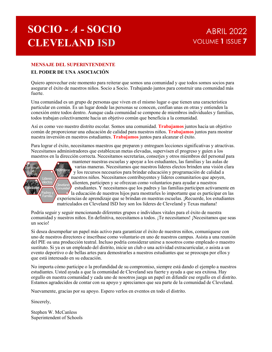# SOCIO - <sup>A</sup> - SOCIO CLEVELAND ISD

### MENSAJE DEL SUPERINTENDENTE

### EL PODER DE UNA ASOCIACIÓN

Quiero aprovechar este momento para reiterar que somos una comunidad y que todos somos socios para asegurar el éxito de nuestros niños. Socio a Socio. Trabajando juntos para construir una comunidad más fuerte.

Una comunidad es un grupo de personas que viven en el mismo lugar o que tienen una característica particular en común. Es un lugar donde las personas se conocen, confían unas en otras y entienden la conexión entre todos dentro. Aunque cada comunidad se compone de miembros individuales y familias, todos trabajan colectivamente hacia un objetivo común que beneficia a la comunidad.

Así es como veo nuestro distrito escolar. Somos una comunidad. Trabajamos juntos hacia un objetivo común de proporcionar una educación de calidad para nuestros niños. Trabajamos juntos para mostrar nuestra inversión en nuestros estudiantes. Trabajamos juntos para alcanzar el éxito.

Para lograr el éxito, necesitamos maestros que preparen y entreguen lecciones significativas y atractivas. Necesitamos administradores que establezcan metas elevadas, supervisen el progreso y guíen a los maestros en la dirección correcta. Necesitamos secretarias, conserjes y otros miembros del personal para



mantener nuestras escuelas y apoyar a los estudiantes, las familias y las aulas de varias maneras. Necesitamos que nuestros líderes electos brinden una visión clara y los recursos necesarios para brindar educación y programación de calidad a Profesoras nuestros niños. Necesitamos contribuyentes y líderes comunitarios que apoyen, Líderes electos // Estudiantes<br>
Comunidad estudiantes. Y necesitamos que los padres y las familias participen activamente en Padres y **1** a educación de nuestros hijos para mostrarles lo importante que es participar en las experiencias de aprendizaje que se brindan en nuestras escuelas. ¡Recuerde, los estudiantes matriculados en Cleveland ISD hoy son los líderes de Cleveland y Texas mañana! Exame to the method in the consideration of **Franchise** and to the considerar investion of the proporcionar una educación de calidad para metatros niños. **Trabajamos** juntos para mostara universita metatra inversion en mue

Podría seguir y seguir mencionando diferentes grupos e individuos vitales para el éxito de nuestra comunidad y nuestros niños. En definitiva, necesitamos a todos. ¡Te necesitamos! ¡Necesitamos que seas un socio!

Si desea desempeñar un papel más activo para garantizar el éxito de nuestros niños, comuníquese con uno de nuestros directores e inscríbase como voluntario en uno de nuestros campus. Asista a una reunión sustituto. Si ya es un empleado del distrito, inicie un club o una actividad extracurricular, o asista a un evento deportivo o de bellas artes para demostrarles a nuestros estudiantes que se preocupa por ellos y que está interesado en su educación.

No importa cómo participe o la profundidad de su compromiso, siempre está dando el ejemplo a nuestros estudiantes. Usted ayuda a que la comunidad de Cleveland sea fuerte y ayuda a que sea exitosa. Hay orgullo en nuestra comunidad y cada uno de nosotros juega un papel en difundir ese orgullo en el distrito. Estamos agradecidos de contar con su apoyo y apreciamos que sea parte de la comunidad de Cleveland.

Nuevamente, gracias por su apoyo. Espero verlos en eventos en todo el distrito.

Sincerely,

Stephen W. McCanless Superintendent of Schools